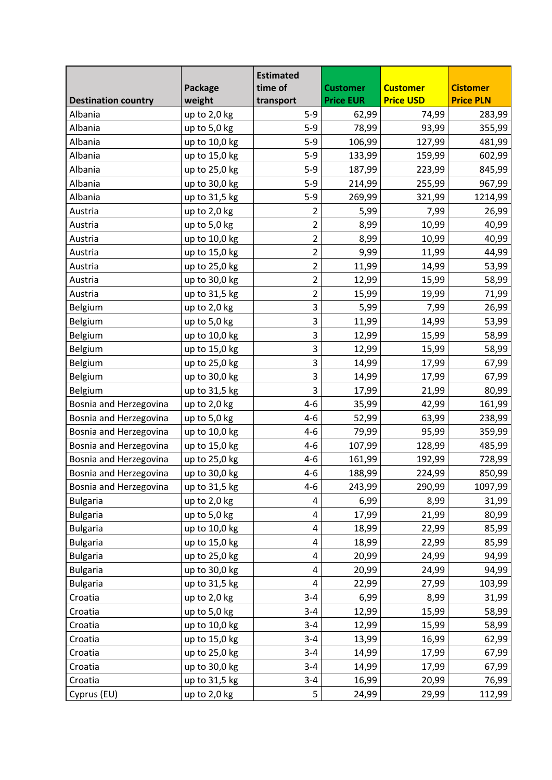|                            |                | <b>Estimated</b> |                  |                  |                  |
|----------------------------|----------------|------------------|------------------|------------------|------------------|
|                            | Package        | time of          | <b>Customer</b>  | <b>Customer</b>  | <b>Cistomer</b>  |
| <b>Destination country</b> | weight         | transport        | <b>Price EUR</b> | <b>Price USD</b> | <b>Price PLN</b> |
| Albania                    | up to 2,0 kg   | $5-9$            | 62,99            | 74,99            | 283,99           |
| Albania                    | up to 5,0 kg   | $5-9$            | 78,99            | 93,99            | 355,99           |
| Albania                    | up to 10,0 kg  | $5-9$            | 106,99           | 127,99           | 481,99           |
| Albania                    | up to 15,0 kg  | $5-9$            | 133,99           | 159,99           | 602,99           |
| Albania                    | up to 25,0 kg  | $5-9$            | 187,99           | 223,99           | 845,99           |
| Albania                    | up to 30,0 kg  | $5-9$            | 214,99           | 255,99           | 967,99           |
| Albania                    | up to 31,5 kg  | $5-9$            | 269,99           | 321,99           | 1214,99          |
| Austria                    | up to 2,0 kg   | $\overline{2}$   | 5,99             | 7,99             | 26,99            |
| Austria                    | up to 5,0 kg   | $\overline{2}$   | 8,99             | 10,99            | 40,99            |
| Austria                    | up to 10,0 kg  | $\overline{2}$   | 8,99             | 10,99            | 40,99            |
| Austria                    | up to 15,0 kg  | $\overline{2}$   | 9,99             | 11,99            | 44,99            |
| Austria                    | up to 25,0 kg  | $\overline{2}$   | 11,99            | 14,99            | 53,99            |
| Austria                    | up to 30,0 kg  | $\overline{2}$   | 12,99            | 15,99            | 58,99            |
| Austria                    | up to 31,5 kg  | $\overline{c}$   | 15,99            | 19,99            | 71,99            |
| Belgium                    | up to 2,0 kg   | 3                | 5,99             | 7,99             | 26,99            |
| Belgium                    | up to 5,0 kg   | 3                | 11,99            | 14,99            | 53,99            |
| Belgium                    | up to 10,0 kg  | 3                | 12,99            | 15,99            | 58,99            |
| Belgium                    | up to 15,0 kg  | 3                | 12,99            | 15,99            | 58,99            |
| Belgium                    | up to 25,0 kg  | 3                | 14,99            | 17,99            | 67,99            |
| Belgium                    | up to 30,0 kg  | 3                | 14,99            | 17,99            | 67,99            |
| Belgium                    | up to 31,5 kg  | 3                | 17,99            | 21,99            | 80,99            |
| Bosnia and Herzegovina     | up to 2,0 kg   | $4 - 6$          | 35,99            | 42,99            | 161,99           |
| Bosnia and Herzegovina     | up to 5,0 kg   | $4 - 6$          | 52,99            | 63,99            | 238,99           |
| Bosnia and Herzegovina     | up to 10,0 kg  | $4 - 6$          | 79,99            | 95,99            | 359,99           |
| Bosnia and Herzegovina     | up to 15,0 kg  | $4 - 6$          | 107,99           | 128,99           | 485,99           |
| Bosnia and Herzegovina     | up to 25,0 kg  | $4 - 6$          | 161,99           | 192,99           | 728,99           |
| Bosnia and Herzegovina     | up to 30,0 kg  | $4 - 6$          | 188,99           | 224,99           | 850,99           |
| Bosnia and Herzegovina     | up to 31,5 kg  | $4 - 6$          | 243,99           | 290,99           | 1097,99          |
| <b>Bulgaria</b>            | up to 2,0 kg   | 4                | 6,99             | 8,99             | 31,99            |
| <b>Bulgaria</b>            | up to 5,0 kg   | 4                | 17,99            | 21,99            | 80,99            |
| <b>Bulgaria</b>            | up to 10,0 kg  | 4                | 18,99            | 22,99            | 85,99            |
| <b>Bulgaria</b>            | up to 15,0 kg  | 4                | 18,99            | 22,99            | 85,99            |
| <b>Bulgaria</b>            | up to 25,0 kg  | 4                | 20,99            | 24,99            | 94,99            |
| <b>Bulgaria</b>            | up to 30,0 kg  | 4                | 20,99            | 24,99            | 94,99            |
| <b>Bulgaria</b>            | up to 31,5 kg  | 4                | 22,99            | 27,99            | 103,99           |
| Croatia                    | up to 2,0 kg   | $3 - 4$          | 6,99             | 8,99             | 31,99            |
| Croatia                    | up to 5,0 kg   | $3 - 4$          | 12,99            | 15,99            | 58,99            |
| Croatia                    | up to 10,0 kg  | $3 - 4$          | 12,99            | 15,99            | 58,99            |
| Croatia                    | up to 15,0 kg  | $3 - 4$          | 13,99            | 16,99            | 62,99            |
| Croatia                    | up to 25,0 kg  | $3 - 4$          | 14,99            | 17,99            | 67,99            |
| Croatia                    | up to 30,0 kg  | $3 - 4$          | 14,99            | 17,99            | 67,99            |
| Croatia                    |                | $3 - 4$          | 16,99            |                  | 76,99            |
|                            | up to 31,5 kg  |                  |                  | 20,99            |                  |
| Cyprus (EU)                | up to $2,0$ kg | 5                | 24,99            | 29,99            | 112,99           |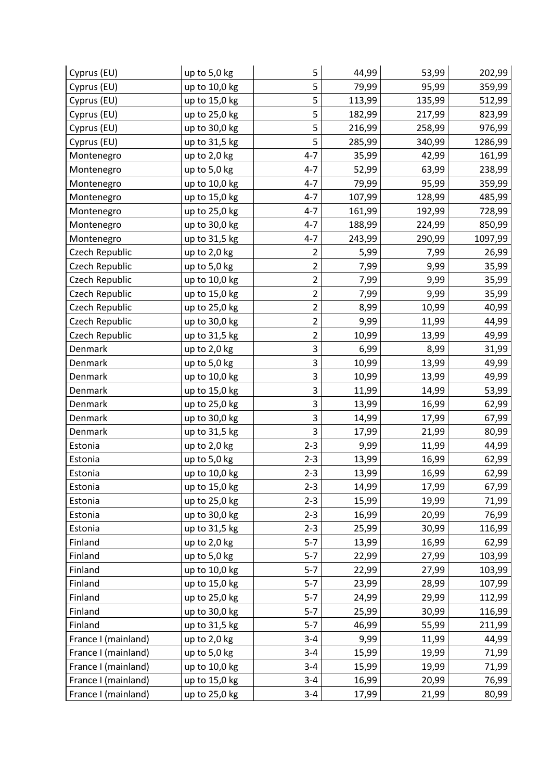| Cyprus (EU)         | up to 5,0 kg  | 5              | 44,99  | 53,99  | 202,99  |
|---------------------|---------------|----------------|--------|--------|---------|
| Cyprus (EU)         | up to 10,0 kg | 5              | 79,99  | 95,99  | 359,99  |
| Cyprus (EU)         | up to 15,0 kg | 5              | 113,99 | 135,99 | 512,99  |
| Cyprus (EU)         | up to 25,0 kg | 5              | 182,99 | 217,99 | 823,99  |
| Cyprus (EU)         | up to 30,0 kg | 5              | 216,99 | 258,99 | 976,99  |
| Cyprus (EU)         | up to 31,5 kg | 5              | 285,99 | 340,99 | 1286,99 |
| Montenegro          | up to 2,0 kg  | $4 - 7$        | 35,99  | 42,99  | 161,99  |
| Montenegro          | up to 5,0 kg  | $4 - 7$        | 52,99  | 63,99  | 238,99  |
| Montenegro          | up to 10,0 kg | $4 - 7$        | 79,99  | 95,99  | 359,99  |
| Montenegro          | up to 15,0 kg | $4 - 7$        | 107,99 | 128,99 | 485,99  |
| Montenegro          | up to 25,0 kg | $4 - 7$        | 161,99 | 192,99 | 728,99  |
| Montenegro          | up to 30,0 kg | $4 - 7$        | 188,99 | 224,99 | 850,99  |
| Montenegro          | up to 31,5 kg | $4 - 7$        | 243,99 | 290,99 | 1097,99 |
| Czech Republic      | up to 2,0 kg  | $\overline{2}$ | 5,99   | 7,99   | 26,99   |
| Czech Republic      | up to 5,0 kg  | $\overline{2}$ | 7,99   | 9,99   | 35,99   |
| Czech Republic      | up to 10,0 kg | $\overline{2}$ | 7,99   | 9,99   | 35,99   |
| Czech Republic      | up to 15,0 kg | $\overline{2}$ | 7,99   | 9,99   | 35,99   |
| Czech Republic      | up to 25,0 kg | $\overline{2}$ | 8,99   | 10,99  | 40,99   |
| Czech Republic      | up to 30,0 kg | $\overline{2}$ | 9,99   | 11,99  | 44,99   |
| Czech Republic      | up to 31,5 kg | $\overline{2}$ | 10,99  | 13,99  | 49,99   |
| Denmark             | up to 2,0 kg  | 3              | 6,99   | 8,99   | 31,99   |
| Denmark             | up to 5,0 kg  | 3              | 10,99  | 13,99  | 49,99   |
| Denmark             | up to 10,0 kg | 3              | 10,99  | 13,99  | 49,99   |
| Denmark             | up to 15,0 kg | 3              | 11,99  | 14,99  | 53,99   |
| Denmark             | up to 25,0 kg | 3              | 13,99  | 16,99  | 62,99   |
| Denmark             | up to 30,0 kg | 3              | 14,99  | 17,99  | 67,99   |
| Denmark             | up to 31,5 kg | 3              | 17,99  | 21,99  | 80,99   |
| Estonia             | up to 2,0 kg  | $2 - 3$        | 9,99   | 11,99  | 44,99   |
| Estonia             | up to 5,0 kg  | $2 - 3$        | 13,99  | 16,99  | 62,99   |
| Estonia             | up to 10,0 kg | $2 - 3$        | 13,99  | 16,99  | 62,99   |
| Estonia             | up to 15,0 kg | $2 - 3$        | 14,99  | 17,99  | 67,99   |
| Estonia             | up to 25,0 kg | $2 - 3$        | 15,99  | 19,99  | 71,99   |
| Estonia             | up to 30,0 kg | $2 - 3$        | 16,99  | 20,99  | 76,99   |
| Estonia             | up to 31,5 kg | $2 - 3$        | 25,99  | 30,99  | 116,99  |
| Finland             | up to 2,0 kg  | $5-7$          | 13,99  | 16,99  | 62,99   |
| Finland             | up to 5,0 kg  | $5-7$          | 22,99  | 27,99  | 103,99  |
| Finland             | up to 10,0 kg | $5-7$          | 22,99  | 27,99  | 103,99  |
| Finland             | up to 15,0 kg | $5 - 7$        | 23,99  | 28,99  | 107,99  |
| Finland             | up to 25,0 kg | $5 - 7$        | 24,99  | 29,99  | 112,99  |
| Finland             | up to 30,0 kg | $5 - 7$        | 25,99  | 30,99  | 116,99  |
| Finland             | up to 31,5 kg | $5 - 7$        | 46,99  | 55,99  | 211,99  |
| France I (mainland) | up to 2,0 kg  | $3 - 4$        | 9,99   | 11,99  | 44,99   |
| France I (mainland) | up to 5,0 kg  | $3 - 4$        | 15,99  | 19,99  | 71,99   |
| France I (mainland) | up to 10,0 kg | $3 - 4$        | 15,99  | 19,99  | 71,99   |
| France I (mainland) | up to 15,0 kg | $3 - 4$        | 16,99  | 20,99  | 76,99   |
| France I (mainland) | up to 25,0 kg | $3 - 4$        | 17,99  | 21,99  | 80,99   |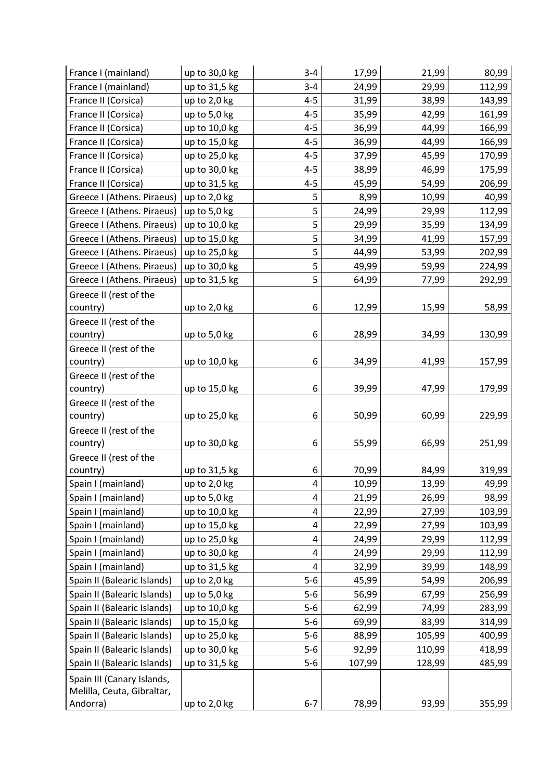| France I (mainland)         | up to 30,0 kg  | $3 - 4$ | 17,99  | 21,99  | 80,99  |
|-----------------------------|----------------|---------|--------|--------|--------|
| France I (mainland)         | up to 31,5 kg  | $3 - 4$ | 24,99  | 29,99  | 112,99 |
| France II (Corsica)         | up to 2,0 kg   | $4 - 5$ | 31,99  | 38,99  | 143,99 |
| France II (Corsica)         | up to 5,0 kg   | $4 - 5$ | 35,99  | 42,99  | 161,99 |
| France II (Corsica)         | up to 10,0 kg  | $4 - 5$ | 36,99  | 44,99  | 166,99 |
| France II (Corsica)         | up to 15,0 kg  | $4 - 5$ | 36,99  | 44,99  | 166,99 |
| France II (Corsica)         | up to 25,0 kg  | $4 - 5$ | 37,99  | 45,99  | 170,99 |
| France II (Corsica)         | up to 30,0 kg  | $4 - 5$ | 38,99  | 46,99  | 175,99 |
| France II (Corsica)         | up to 31,5 kg  | $4 - 5$ | 45,99  | 54,99  | 206,99 |
| Greece I (Athens. Piraeus)  | up to 2,0 kg   | 5       | 8,99   | 10,99  | 40,99  |
| Greece I (Athens. Piraeus)  | up to 5,0 kg   | 5       | 24,99  | 29,99  | 112,99 |
| Greece I (Athens. Piraeus)  | up to 10,0 kg  | 5       | 29,99  | 35,99  | 134,99 |
| Greece I (Athens. Piraeus)  | up to 15,0 kg  | 5       | 34,99  | 41,99  | 157,99 |
| Greece I (Athens. Piraeus)  | up to 25,0 kg  | 5       | 44,99  | 53,99  | 202,99 |
| Greece I (Athens. Piraeus)  | up to 30,0 kg  | 5       | 49,99  | 59,99  | 224,99 |
| Greece I (Athens. Piraeus)  | up to 31,5 kg  | 5       | 64,99  | 77,99  | 292,99 |
| Greece II (rest of the      |                |         |        |        |        |
| country)                    | up to 2,0 kg   | 6       | 12,99  | 15,99  | 58,99  |
| Greece II (rest of the      |                |         |        |        |        |
| country)                    | up to 5,0 kg   | 6       | 28,99  | 34,99  | 130,99 |
| Greece II (rest of the      |                |         |        |        |        |
| country)                    | up to 10,0 kg  | 6       | 34,99  | 41,99  | 157,99 |
| Greece II (rest of the      |                |         |        |        |        |
| country)                    | up to 15,0 kg  | 6       | 39,99  | 47,99  | 179,99 |
| Greece II (rest of the      |                |         |        |        |        |
| country)                    | up to 25,0 kg  | 6       | 50,99  | 60,99  | 229,99 |
| Greece II (rest of the      |                |         |        |        |        |
| country)                    | up to 30,0 kg  | 6       | 55,99  | 66,99  | 251,99 |
| Greece II (rest of the      |                |         |        |        |        |
| country)                    | up to 31,5 kg  | 6       | 70,99  | 84,99  | 319,99 |
| Spain I (mainland)          | up to 2,0 kg   | 4       | 10,99  | 13,99  | 49,99  |
| Spain I (mainland)          | up to 5,0 kg   | 4       | 21,99  | 26,99  | 98,99  |
| Spain I (mainland)          | up to 10,0 kg  | 4       | 22,99  | 27,99  | 103,99 |
| Spain I (mainland)          | up to 15,0 kg  | 4       | 22,99  | 27,99  | 103,99 |
| Spain I (mainland)          | up to 25,0 kg  | 4       | 24,99  | 29,99  | 112,99 |
| Spain I (mainland)          | up to 30,0 kg  | 4       | 24,99  | 29,99  | 112,99 |
| Spain I (mainland)          | up to 31,5 kg  | 4       | 32,99  | 39,99  | 148,99 |
| Spain II (Balearic Islands) | up to $2,0$ kg | $5 - 6$ | 45,99  | 54,99  | 206,99 |
| Spain II (Balearic Islands) | up to 5,0 kg   | $5-6$   | 56,99  | 67,99  | 256,99 |
| Spain II (Balearic Islands) | up to 10,0 kg  | $5 - 6$ | 62,99  | 74,99  | 283,99 |
| Spain II (Balearic Islands) | up to 15,0 kg  | $5 - 6$ | 69,99  | 83,99  | 314,99 |
| Spain II (Balearic Islands) | up to 25,0 kg  | $5 - 6$ | 88,99  | 105,99 | 400,99 |
| Spain II (Balearic Islands) | up to 30,0 kg  | $5-6$   | 92,99  | 110,99 | 418,99 |
| Spain II (Balearic Islands) | up to 31,5 kg  | $5-6$   | 107,99 | 128,99 | 485,99 |
| Spain III (Canary Islands,  |                |         |        |        |        |
| Melilla, Ceuta, Gibraltar,  |                |         |        |        |        |
| Andorra)                    | up to 2,0 kg   | $6 - 7$ | 78,99  | 93,99  | 355,99 |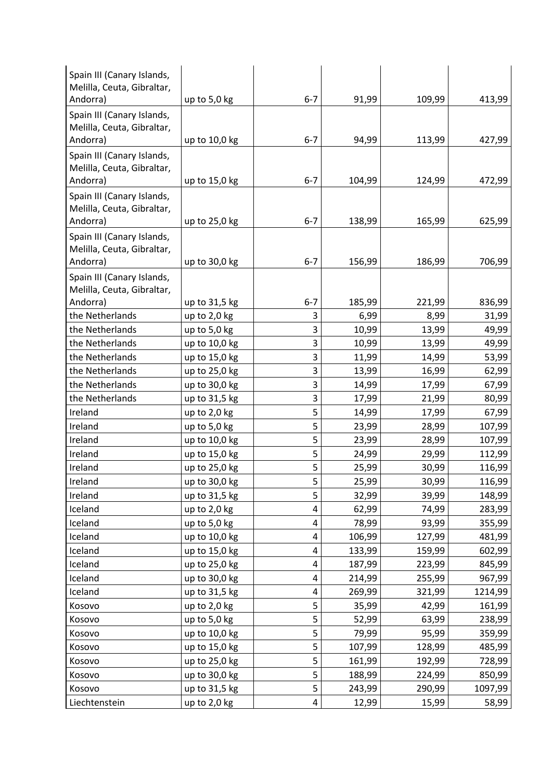| Spain III (Canary Islands,<br>Melilla, Ceuta, Gibraltar, |                |         |        |        |         |
|----------------------------------------------------------|----------------|---------|--------|--------|---------|
| Andorra)                                                 | up to 5,0 kg   | $6 - 7$ | 91,99  | 109,99 | 413,99  |
| Spain III (Canary Islands,<br>Melilla, Ceuta, Gibraltar, |                | $6 - 7$ |        |        |         |
| Andorra)                                                 | up to 10,0 kg  |         | 94,99  | 113,99 | 427,99  |
| Spain III (Canary Islands,<br>Melilla, Ceuta, Gibraltar, |                |         |        |        |         |
| Andorra)                                                 | up to 15,0 kg  | $6 - 7$ | 104,99 | 124,99 | 472,99  |
| Spain III (Canary Islands,<br>Melilla, Ceuta, Gibraltar, |                |         |        |        |         |
| Andorra)                                                 | up to 25,0 kg  | $6 - 7$ | 138,99 | 165,99 | 625,99  |
| Spain III (Canary Islands,<br>Melilla, Ceuta, Gibraltar, |                |         |        |        |         |
| Andorra)                                                 | up to 30,0 kg  | $6 - 7$ | 156,99 | 186,99 | 706,99  |
| Spain III (Canary Islands,<br>Melilla, Ceuta, Gibraltar, |                |         |        |        |         |
| Andorra)                                                 | up to 31,5 kg  | $6 - 7$ | 185,99 | 221,99 | 836,99  |
| the Netherlands                                          | up to 2,0 kg   | 3       | 6,99   | 8,99   | 31,99   |
| the Netherlands                                          | up to 5,0 kg   | 3       | 10,99  | 13,99  | 49,99   |
| the Netherlands                                          | up to 10,0 kg  | 3       | 10,99  | 13,99  | 49,99   |
| the Netherlands                                          | up to 15,0 kg  | 3       | 11,99  | 14,99  | 53,99   |
| the Netherlands                                          | up to 25,0 kg  | 3       | 13,99  | 16,99  | 62,99   |
| the Netherlands                                          | up to 30,0 kg  | 3       | 14,99  | 17,99  | 67,99   |
| the Netherlands                                          | up to 31,5 kg  | 3       | 17,99  | 21,99  | 80,99   |
| Ireland                                                  | up to $2,0$ kg | 5       | 14,99  | 17,99  | 67,99   |
| Ireland                                                  | up to 5,0 kg   | 5       | 23,99  | 28,99  | 107,99  |
| Ireland                                                  | up to 10,0 kg  | 5       | 23,99  | 28,99  | 107,99  |
| Ireland                                                  | up to 15,0 kg  | 5       | 24,99  | 29,99  | 112,99  |
| Ireland                                                  | up to 25,0 kg  | 5       | 25,99  | 30,99  | 116,99  |
| Ireland                                                  | up to 30,0 kg  | 5       | 25,99  | 30,99  | 116,99  |
| Ireland                                                  | up to 31,5 kg  | 5       | 32,99  | 39,99  | 148,99  |
| Iceland                                                  | up to 2,0 kg   | 4       | 62,99  | 74,99  | 283,99  |
| Iceland                                                  | up to 5,0 kg   | 4       | 78,99  | 93,99  | 355,99  |
| Iceland                                                  | up to 10,0 kg  | 4       | 106,99 | 127,99 | 481,99  |
| Iceland                                                  | up to 15,0 kg  | 4       | 133,99 | 159,99 | 602,99  |
| Iceland                                                  | up to 25,0 kg  | 4       | 187,99 | 223,99 | 845,99  |
| Iceland                                                  | up to 30,0 kg  | 4       | 214,99 | 255,99 | 967,99  |
| Iceland                                                  | up to 31,5 kg  | 4       | 269,99 | 321,99 | 1214,99 |
| Kosovo                                                   | up to 2,0 kg   | 5       | 35,99  | 42,99  | 161,99  |
| Kosovo                                                   | up to 5,0 kg   | 5       | 52,99  | 63,99  | 238,99  |
| Kosovo                                                   | up to 10,0 kg  | 5       | 79,99  | 95,99  | 359,99  |
| Kosovo                                                   | up to 15,0 kg  | 5       | 107,99 | 128,99 | 485,99  |
| Kosovo                                                   | up to 25,0 kg  | 5       | 161,99 | 192,99 | 728,99  |
| Kosovo                                                   | up to 30,0 kg  | 5       | 188,99 | 224,99 | 850,99  |
| Kosovo                                                   | up to 31,5 kg  | 5       | 243,99 | 290,99 | 1097,99 |
| Liechtenstein                                            | up to 2,0 kg   | 4       | 12,99  | 15,99  | 58,99   |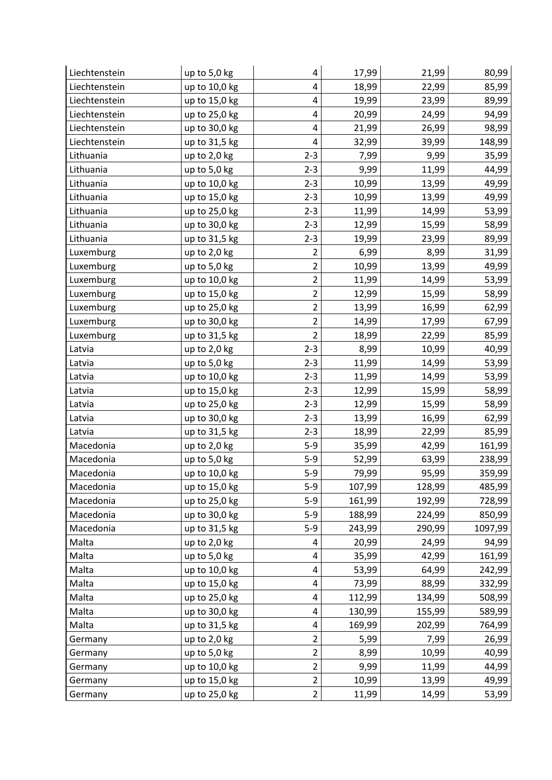| Liechtenstein | up to 5,0 kg   | 4                       | 17,99  | 21,99  | 80,99   |
|---------------|----------------|-------------------------|--------|--------|---------|
| Liechtenstein | up to 10,0 kg  | 4                       | 18,99  | 22,99  | 85,99   |
| Liechtenstein | up to 15,0 kg  | $\pmb{4}$               | 19,99  | 23,99  | 89,99   |
| Liechtenstein | up to 25,0 kg  | 4                       | 20,99  | 24,99  | 94,99   |
| Liechtenstein | up to 30,0 kg  | $\overline{\mathbf{4}}$ | 21,99  | 26,99  | 98,99   |
| Liechtenstein | up to 31,5 kg  | 4                       | 32,99  | 39,99  | 148,99  |
| Lithuania     | up to 2,0 kg   | $2 - 3$                 | 7,99   | 9,99   | 35,99   |
| Lithuania     | up to 5,0 kg   | $2 - 3$                 | 9,99   | 11,99  | 44,99   |
| Lithuania     | up to 10,0 kg  | $2 - 3$                 | 10,99  | 13,99  | 49,99   |
| Lithuania     | up to 15,0 kg  | $2 - 3$                 | 10,99  | 13,99  | 49,99   |
| Lithuania     | up to 25,0 kg  | $2 - 3$                 | 11,99  | 14,99  | 53,99   |
| Lithuania     | up to 30,0 kg  | $2 - 3$                 | 12,99  | 15,99  | 58,99   |
| Lithuania     | up to 31,5 kg  | $2 - 3$                 | 19,99  | 23,99  | 89,99   |
| Luxemburg     | up to $2,0$ kg | $\overline{2}$          | 6,99   | 8,99   | 31,99   |
| Luxemburg     | up to 5,0 kg   | $\overline{c}$          | 10,99  | 13,99  | 49,99   |
| Luxemburg     | up to 10,0 kg  | $\overline{2}$          | 11,99  | 14,99  | 53,99   |
| Luxemburg     | up to 15,0 kg  | $\overline{2}$          | 12,99  | 15,99  | 58,99   |
| Luxemburg     | up to 25,0 kg  | $\overline{2}$          | 13,99  | 16,99  | 62,99   |
| Luxemburg     | up to 30,0 kg  | $\overline{c}$          | 14,99  | 17,99  | 67,99   |
| Luxemburg     | up to 31,5 kg  | $\overline{2}$          | 18,99  | 22,99  | 85,99   |
| Latvia        | up to 2,0 kg   | $2 - 3$                 | 8,99   | 10,99  | 40,99   |
| Latvia        | up to $5,0$ kg | $2 - 3$                 | 11,99  | 14,99  | 53,99   |
| Latvia        | up to 10,0 kg  | $2 - 3$                 | 11,99  | 14,99  | 53,99   |
| Latvia        | up to 15,0 kg  | $2 - 3$                 | 12,99  | 15,99  | 58,99   |
| Latvia        | up to 25,0 kg  | $2 - 3$                 | 12,99  | 15,99  | 58,99   |
| Latvia        | up to 30,0 kg  | $2 - 3$                 | 13,99  | 16,99  | 62,99   |
| Latvia        | up to 31,5 kg  | $2 - 3$                 | 18,99  | 22,99  | 85,99   |
| Macedonia     | up to $2,0$ kg | $5-9$                   | 35,99  | 42,99  | 161,99  |
| Macedonia     | up to 5,0 kg   | $5-9$                   | 52,99  | 63,99  | 238,99  |
| Macedonia     | up to 10,0 kg  | $5-9$                   | 79,99  | 95,99  | 359,99  |
| Macedonia     | up to 15,0 kg  | $5-9$                   | 107,99 | 128,99 | 485,99  |
| Macedonia     | up to 25,0 kg  | $5-9$                   | 161,99 | 192,99 | 728,99  |
| Macedonia     | up to 30,0 kg  | $5-9$                   | 188,99 | 224,99 | 850,99  |
| Macedonia     | up to 31,5 kg  | $5-9$                   | 243,99 | 290,99 | 1097,99 |
| Malta         | up to 2,0 kg   | 4                       | 20,99  | 24,99  | 94,99   |
| Malta         | up to 5,0 kg   | 4                       | 35,99  | 42,99  | 161,99  |
| Malta         | up to 10,0 kg  | 4                       | 53,99  | 64,99  | 242,99  |
| Malta         | up to 15,0 kg  | $\pmb{4}$               | 73,99  | 88,99  | 332,99  |
| Malta         | up to 25,0 kg  | 4                       | 112,99 | 134,99 | 508,99  |
| Malta         | up to 30,0 kg  | $\overline{\mathbf{4}}$ | 130,99 | 155,99 | 589,99  |
| Malta         | up to 31,5 kg  | 4                       | 169,99 | 202,99 | 764,99  |
| Germany       | up to 2,0 kg   | $\overline{\mathbf{c}}$ | 5,99   | 7,99   | 26,99   |
| Germany       | up to 5,0 kg   | $\overline{2}$          | 8,99   | 10,99  | 40,99   |
| Germany       | up to 10,0 kg  | 2                       | 9,99   | 11,99  | 44,99   |
| Germany       | up to 15,0 kg  | $\overline{2}$          | 10,99  | 13,99  | 49,99   |
| Germany       | up to 25,0 kg  | $\overline{2}$          | 11,99  | 14,99  | 53,99   |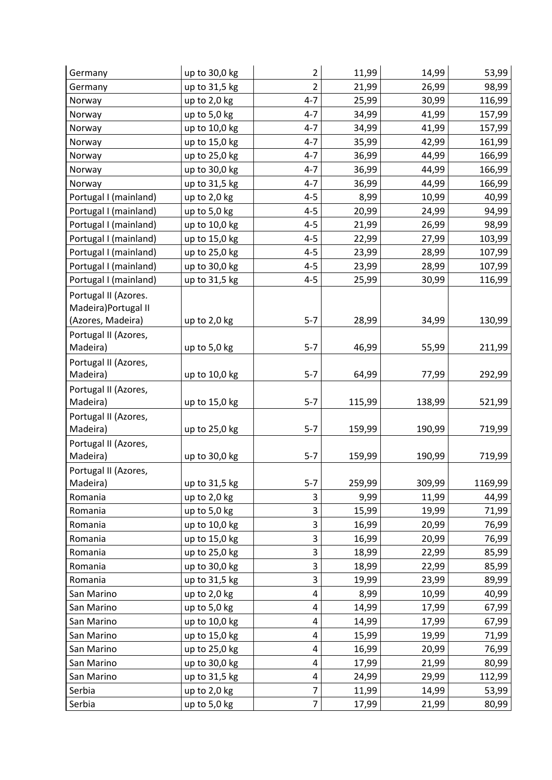| Germany               | up to 30,0 kg  | 2                         | 11,99  | 14,99  | 53,99   |
|-----------------------|----------------|---------------------------|--------|--------|---------|
| Germany               | up to 31,5 kg  | $\overline{2}$            | 21,99  | 26,99  | 98,99   |
| Norway                | up to 2,0 kg   | $4 - 7$                   | 25,99  | 30,99  | 116,99  |
| Norway                | up to 5,0 kg   | $4 - 7$                   | 34,99  | 41,99  | 157,99  |
| Norway                | up to 10,0 kg  | $4 - 7$                   | 34,99  | 41,99  | 157,99  |
| Norway                | up to 15,0 kg  | $4 - 7$                   | 35,99  | 42,99  | 161,99  |
| Norway                | up to 25,0 kg  | $4 - 7$                   | 36,99  | 44,99  | 166,99  |
| Norway                | up to 30,0 kg  | $4 - 7$                   | 36,99  | 44,99  | 166,99  |
| Norway                | up to 31,5 kg  | $4 - 7$                   | 36,99  | 44,99  | 166,99  |
| Portugal I (mainland) | up to 2,0 kg   | $4 - 5$                   | 8,99   | 10,99  | 40,99   |
| Portugal I (mainland) | up to 5,0 kg   | $4 - 5$                   | 20,99  | 24,99  | 94,99   |
| Portugal I (mainland) | up to 10,0 kg  | $4 - 5$                   | 21,99  | 26,99  | 98,99   |
| Portugal I (mainland) | up to 15,0 kg  | $4 - 5$                   | 22,99  | 27,99  | 103,99  |
| Portugal I (mainland) | up to 25,0 kg  | $4 - 5$                   | 23,99  | 28,99  | 107,99  |
| Portugal I (mainland) | up to 30,0 kg  | $4 - 5$                   | 23,99  | 28,99  | 107,99  |
| Portugal I (mainland) | up to 31,5 kg  | $4 - 5$                   | 25,99  | 30,99  | 116,99  |
| Portugal II (Azores.  |                |                           |        |        |         |
| Madeira) Portugal II  |                |                           |        |        |         |
| (Azores, Madeira)     | up to 2,0 kg   | $5 - 7$                   | 28,99  | 34,99  | 130,99  |
| Portugal II (Azores,  |                |                           |        |        |         |
| Madeira)              | up to 5,0 kg   | $5 - 7$                   | 46,99  | 55,99  | 211,99  |
| Portugal II (Azores,  |                |                           |        |        |         |
| Madeira)              | up to 10,0 kg  | $5 - 7$                   | 64,99  | 77,99  | 292,99  |
| Portugal II (Azores,  |                |                           |        |        |         |
| Madeira)              | up to 15,0 kg  | $5 - 7$                   | 115,99 | 138,99 | 521,99  |
| Portugal II (Azores,  |                |                           |        |        |         |
| Madeira)              | up to 25,0 kg  | $5 - 7$                   | 159,99 | 190,99 | 719,99  |
| Portugal II (Azores,  |                |                           |        |        |         |
| Madeira)              | up to 30,0 kg  | $5 - 7$                   | 159,99 | 190,99 | 719,99  |
| Portugal II (Azores,  |                |                           |        |        |         |
| Madeira)              | up to 31,5 kg  | $5-7$                     | 259,99 | 309,99 | 1169,99 |
| Romania               | up to 2,0 kg   | 3                         | 9,99   | 11,99  | 44,99   |
| Romania               | up to 5,0 kg   | 3                         | 15,99  | 19,99  | 71,99   |
| Romania               | up to 10,0 kg  | 3                         | 16,99  | 20,99  | 76,99   |
| Romania               | up to 15,0 kg  | 3                         | 16,99  | 20,99  | 76,99   |
| Romania               | up to 25,0 kg  | $\ensuremath{\mathsf{3}}$ | 18,99  | 22,99  | 85,99   |
| Romania               | up to 30,0 kg  | 3                         | 18,99  | 22,99  | 85,99   |
| Romania               | up to 31,5 kg  | 3                         | 19,99  | 23,99  | 89,99   |
| San Marino            | up to 2,0 kg   | 4                         | 8,99   | 10,99  | 40,99   |
| San Marino            | up to 5,0 kg   | $\overline{4}$            | 14,99  | 17,99  | 67,99   |
| San Marino            | up to 10,0 kg  | 4                         | 14,99  | 17,99  | 67,99   |
| San Marino            | up to 15,0 kg  | 4                         | 15,99  | 19,99  | 71,99   |
| San Marino            | up to 25,0 kg  | 4                         | 16,99  | 20,99  | 76,99   |
| San Marino            | up to 30,0 kg  | 4                         | 17,99  | 21,99  | 80,99   |
| San Marino            | up to 31,5 kg  | 4                         | 24,99  | 29,99  | 112,99  |
| Serbia                | up to $2,0$ kg | 7                         | 11,99  | 14,99  | 53,99   |
| Serbia                | up to 5,0 kg   | $\overline{7}$            | 17,99  | 21,99  | 80,99   |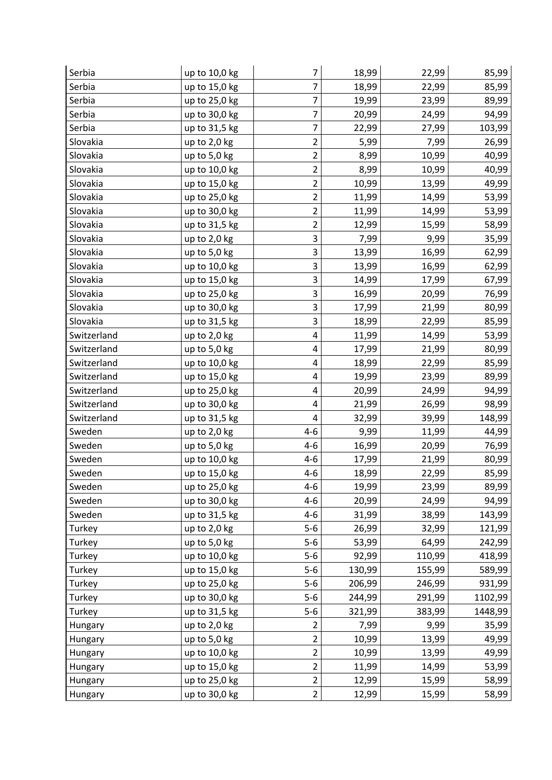| Serbia      | up to 10,0 kg | 7                       | 18,99  | 22,99  | 85,99   |
|-------------|---------------|-------------------------|--------|--------|---------|
| Serbia      | up to 15,0 kg | 7                       | 18,99  | 22,99  | 85,99   |
| Serbia      | up to 25,0 kg | 7                       | 19,99  | 23,99  | 89,99   |
| Serbia      | up to 30,0 kg | 7                       | 20,99  | 24,99  | 94,99   |
| Serbia      | up to 31,5 kg | $\overline{7}$          | 22,99  | 27,99  | 103,99  |
| Slovakia    | up to 2,0 kg  | $\overline{c}$          | 5,99   | 7,99   | 26,99   |
| Slovakia    | up to 5,0 kg  | $\overline{\mathbf{c}}$ | 8,99   | 10,99  | 40,99   |
| Slovakia    | up to 10,0 kg | $\overline{2}$          | 8,99   | 10,99  | 40,99   |
| Slovakia    | up to 15,0 kg | $\overline{c}$          | 10,99  | 13,99  | 49,99   |
| Slovakia    | up to 25,0 kg | $\overline{2}$          | 11,99  | 14,99  | 53,99   |
| Slovakia    | up to 30,0 kg | $\overline{c}$          | 11,99  | 14,99  | 53,99   |
| Slovakia    | up to 31,5 kg | $\overline{c}$          | 12,99  | 15,99  | 58,99   |
| Slovakia    | up to 2,0 kg  | 3                       | 7,99   | 9,99   | 35,99   |
| Slovakia    | up to 5,0 kg  | 3                       | 13,99  | 16,99  | 62,99   |
| Slovakia    | up to 10,0 kg | 3                       | 13,99  | 16,99  | 62,99   |
| Slovakia    | up to 15,0 kg | 3                       | 14,99  | 17,99  | 67,99   |
| Slovakia    | up to 25,0 kg | 3                       | 16,99  | 20,99  | 76,99   |
| Slovakia    | up to 30,0 kg | 3                       | 17,99  | 21,99  | 80,99   |
| Slovakia    | up to 31,5 kg | 3                       | 18,99  | 22,99  | 85,99   |
| Switzerland | up to 2,0 kg  | 4                       | 11,99  | 14,99  | 53,99   |
| Switzerland | up to 5,0 kg  | 4                       | 17,99  | 21,99  | 80,99   |
| Switzerland | up to 10,0 kg | 4                       | 18,99  | 22,99  | 85,99   |
| Switzerland | up to 15,0 kg | 4                       | 19,99  | 23,99  | 89,99   |
| Switzerland | up to 25,0 kg | 4                       | 20,99  | 24,99  | 94,99   |
| Switzerland | up to 30,0 kg | 4                       | 21,99  | 26,99  | 98,99   |
| Switzerland | up to 31,5 kg | 4                       | 32,99  | 39,99  | 148,99  |
| Sweden      | up to 2,0 kg  | $4 - 6$                 | 9,99   | 11,99  | 44,99   |
| Sweden      | up to 5,0 kg  | $4 - 6$                 | 16,99  | 20,99  | 76,99   |
| Sweden      | up to 10,0 kg | $4 - 6$                 | 17,99  | 21,99  | 80,99   |
| Sweden      | up to 15,0 kg | $4 - 6$                 | 18,99  | 22,99  | 85,99   |
| Sweden      | up to 25,0 kg | $4 - 6$                 | 19,99  | 23,99  | 89,99   |
| Sweden      | up to 30,0 kg | $4 - 6$                 | 20,99  | 24,99  | 94,99   |
| Sweden      | up to 31,5 kg | $4 - 6$                 | 31,99  | 38,99  | 143,99  |
| Turkey      | up to 2,0 kg  | $5-6$                   | 26,99  | 32,99  | 121,99  |
| Turkey      | up to 5,0 kg  | $5-6$                   | 53,99  | 64,99  | 242,99  |
| Turkey      | up to 10,0 kg | $5-6$                   | 92,99  | 110,99 | 418,99  |
| Turkey      | up to 15,0 kg | $5-6$                   | 130,99 | 155,99 | 589,99  |
| Turkey      | up to 25,0 kg | $5-6$                   | 206,99 | 246,99 | 931,99  |
| Turkey      | up to 30,0 kg | $5-6$                   | 244,99 | 291,99 | 1102,99 |
| Turkey      | up to 31,5 kg | $5-6$                   | 321,99 | 383,99 | 1448,99 |
| Hungary     | up to 2,0 kg  | $\overline{2}$          | 7,99   | 9,99   | 35,99   |
| Hungary     | up to 5,0 kg  | 2                       | 10,99  | 13,99  | 49,99   |
| Hungary     | up to 10,0 kg | $\overline{2}$          | 10,99  | 13,99  | 49,99   |
| Hungary     | up to 15,0 kg | $\overline{c}$          | 11,99  | 14,99  | 53,99   |
| Hungary     | up to 25,0 kg | $\overline{2}$          | 12,99  | 15,99  | 58,99   |
| Hungary     | up to 30,0 kg | $\overline{2}$          | 12,99  | 15,99  | 58,99   |